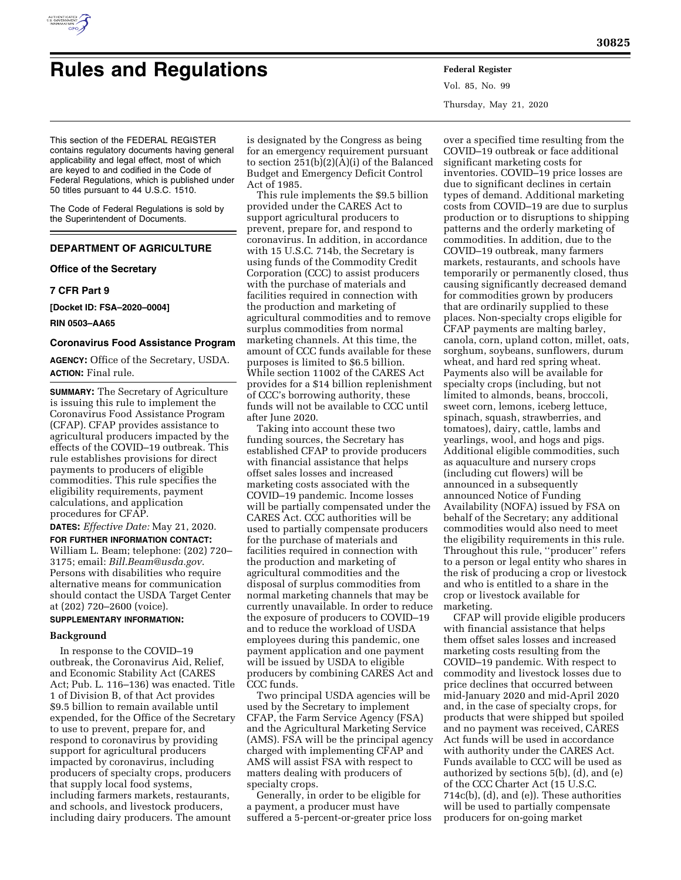

# **Rules and Regulations Federal Register**

Vol. 85, No. 99 Thursday, May 21, 2020

This section of the FEDERAL REGISTER contains regulatory documents having general applicability and legal effect, most of which are keyed to and codified in the Code of Federal Regulations, which is published under 50 titles pursuant to 44 U.S.C. 1510.

The Code of Federal Regulations is sold by the Superintendent of Documents.

## **DEPARTMENT OF AGRICULTURE**

**Office of the Secretary** 

## **7 CFR Part 9**

**[Docket ID: FSA–2020–0004]** 

**RIN 0503–AA65** 

## **Coronavirus Food Assistance Program**

**AGENCY:** Office of the Secretary, USDA. **ACTION:** Final rule.

**SUMMARY:** The Secretary of Agriculture is issuing this rule to implement the Coronavirus Food Assistance Program (CFAP). CFAP provides assistance to agricultural producers impacted by the effects of the COVID–19 outbreak. This rule establishes provisions for direct payments to producers of eligible commodities. This rule specifies the eligibility requirements, payment calculations, and application procedures for CFAP.

**DATES:** *Effective Date:* May 21, 2020.

**FOR FURTHER INFORMATION CONTACT:**  William L. Beam; telephone: (202) 720– 3175; email: *[Bill.Beam@usda.gov](mailto:Bill.Beam@usda.gov)*. Persons with disabilities who require alternative means for communication should contact the USDA Target Center at (202) 720–2600 (voice).

## **SUPPLEMENTARY INFORMATION:**

#### **Background**

In response to the COVID–19 outbreak, the Coronavirus Aid, Relief, and Economic Stability Act (CARES Act; Pub. L. 116–136) was enacted. Title 1 of Division B, of that Act provides \$9.5 billion to remain available until expended, for the Office of the Secretary to use to prevent, prepare for, and respond to coronavirus by providing support for agricultural producers impacted by coronavirus, including producers of specialty crops, producers that supply local food systems, including farmers markets, restaurants, and schools, and livestock producers, including dairy producers. The amount

is designated by the Congress as being for an emergency requirement pursuant to section 251(b)(2)(A)(i) of the Balanced Budget and Emergency Deficit Control Act of 1985.

This rule implements the \$9.5 billion provided under the CARES Act to support agricultural producers to prevent, prepare for, and respond to coronavirus. In addition, in accordance with 15 U.S.C. 714b, the Secretary is using funds of the Commodity Credit Corporation (CCC) to assist producers with the purchase of materials and facilities required in connection with the production and marketing of agricultural commodities and to remove surplus commodities from normal marketing channels. At this time, the amount of CCC funds available for these purposes is limited to \$6.5 billion. While section 11002 of the CARES Act provides for a \$14 billion replenishment of CCC's borrowing authority, these funds will not be available to CCC until after June 2020.

Taking into account these two funding sources, the Secretary has established CFAP to provide producers with financial assistance that helps offset sales losses and increased marketing costs associated with the COVID–19 pandemic. Income losses will be partially compensated under the CARES Act. CCC authorities will be used to partially compensate producers for the purchase of materials and facilities required in connection with the production and marketing of agricultural commodities and the disposal of surplus commodities from normal marketing channels that may be currently unavailable. In order to reduce the exposure of producers to COVID–19 and to reduce the workload of USDA employees during this pandemic, one payment application and one payment will be issued by USDA to eligible producers by combining CARES Act and CCC funds.

Two principal USDA agencies will be used by the Secretary to implement CFAP, the Farm Service Agency (FSA) and the Agricultural Marketing Service (AMS). FSA will be the principal agency charged with implementing CFAP and AMS will assist FSA with respect to matters dealing with producers of specialty crops.

Generally, in order to be eligible for a payment, a producer must have suffered a 5-percent-or-greater price loss

over a specified time resulting from the COVID–19 outbreak or face additional significant marketing costs for inventories. COVID–19 price losses are due to significant declines in certain types of demand. Additional marketing costs from COVID–19 are due to surplus production or to disruptions to shipping patterns and the orderly marketing of commodities. In addition, due to the COVID–19 outbreak, many farmers markets, restaurants, and schools have temporarily or permanently closed, thus causing significantly decreased demand for commodities grown by producers that are ordinarily supplied to these places. Non-specialty crops eligible for CFAP payments are malting barley, canola, corn, upland cotton, millet, oats, sorghum, soybeans, sunflowers, durum wheat, and hard red spring wheat. Payments also will be available for specialty crops (including, but not limited to almonds, beans, broccoli, sweet corn, lemons, iceberg lettuce, spinach, squash, strawberries, and tomatoes), dairy, cattle, lambs and yearlings, wool, and hogs and pigs. Additional eligible commodities, such as aquaculture and nursery crops (including cut flowers) will be announced in a subsequently announced Notice of Funding Availability (NOFA) issued by FSA on behalf of the Secretary; any additional commodities would also need to meet the eligibility requirements in this rule. Throughout this rule, ''producer'' refers to a person or legal entity who shares in the risk of producing a crop or livestock and who is entitled to a share in the crop or livestock available for marketing.

CFAP will provide eligible producers with financial assistance that helps them offset sales losses and increased marketing costs resulting from the COVID–19 pandemic. With respect to commodity and livestock losses due to price declines that occurred between mid-January 2020 and mid-April 2020 and, in the case of specialty crops, for products that were shipped but spoiled and no payment was received, CARES Act funds will be used in accordance with authority under the CARES Act. Funds available to CCC will be used as authorized by sections 5(b), (d), and (e) of the CCC Charter Act (15 U.S.C. 714c(b), (d), and (e)). These authorities will be used to partially compensate producers for on-going market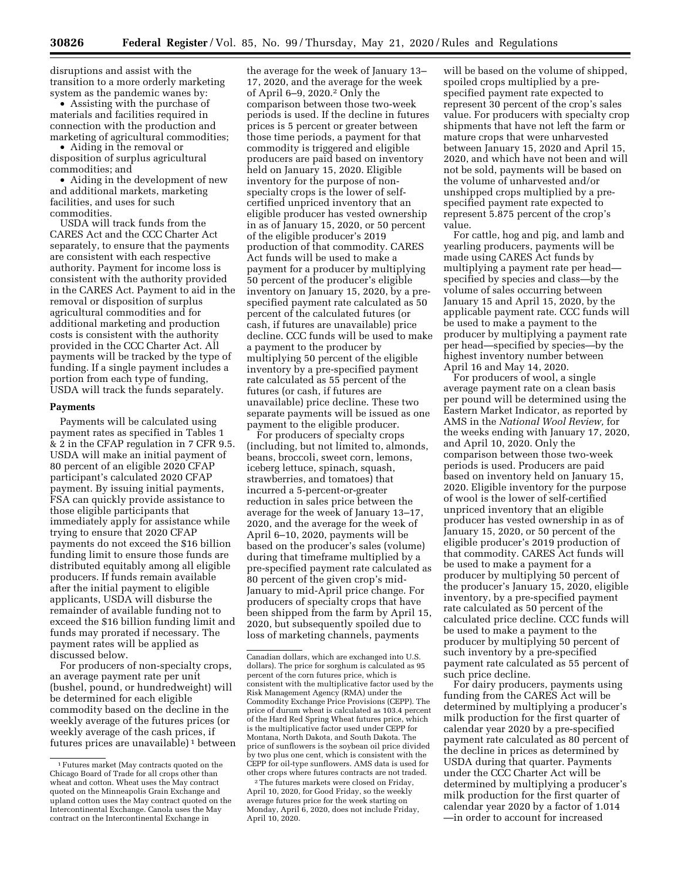disruptions and assist with the transition to a more orderly marketing system as the pandemic wanes by:

• Assisting with the purchase of materials and facilities required in connection with the production and marketing of agricultural commodities;

• Aiding in the removal or disposition of surplus agricultural commodities; and

• Aiding in the development of new and additional markets, marketing facilities, and uses for such commodities.

USDA will track funds from the CARES Act and the CCC Charter Act separately, to ensure that the payments are consistent with each respective authority. Payment for income loss is consistent with the authority provided in the CARES Act. Payment to aid in the removal or disposition of surplus agricultural commodities and for additional marketing and production costs is consistent with the authority provided in the CCC Charter Act. All payments will be tracked by the type of funding. If a single payment includes a portion from each type of funding, USDA will track the funds separately.

#### **Payments**

Payments will be calculated using payment rates as specified in Tables 1 & 2 in the CFAP regulation in 7 CFR 9.5. USDA will make an initial payment of 80 percent of an eligible 2020 CFAP participant's calculated 2020 CFAP payment. By issuing initial payments, FSA can quickly provide assistance to those eligible participants that immediately apply for assistance while trying to ensure that 2020 CFAP payments do not exceed the \$16 billion funding limit to ensure those funds are distributed equitably among all eligible producers. If funds remain available after the initial payment to eligible applicants, USDA will disburse the remainder of available funding not to exceed the \$16 billion funding limit and funds may prorated if necessary. The payment rates will be applied as discussed below.

For producers of non-specialty crops, an average payment rate per unit (bushel, pound, or hundredweight) will be determined for each eligible commodity based on the decline in the weekly average of the futures prices (or weekly average of the cash prices, if futures prices are unavailable) 1 between the average for the week of January 13– 17, 2020, and the average for the week of April 6–9, 2020.2 Only the comparison between those two-week periods is used. If the decline in futures prices is 5 percent or greater between those time periods, a payment for that commodity is triggered and eligible producers are paid based on inventory held on January 15, 2020. Eligible inventory for the purpose of nonspecialty crops is the lower of selfcertified unpriced inventory that an eligible producer has vested ownership in as of January 15, 2020, or 50 percent of the eligible producer's 2019 production of that commodity. CARES Act funds will be used to make a payment for a producer by multiplying 50 percent of the producer's eligible inventory on January 15, 2020, by a prespecified payment rate calculated as 50 percent of the calculated futures (or cash, if futures are unavailable) price decline. CCC funds will be used to make a payment to the producer by multiplying 50 percent of the eligible inventory by a pre-specified payment rate calculated as 55 percent of the futures (or cash, if futures are unavailable) price decline. These two separate payments will be issued as one payment to the eligible producer.

For producers of specialty crops (including, but not limited to, almonds, beans, broccoli, sweet corn, lemons, iceberg lettuce, spinach, squash, strawberries, and tomatoes) that incurred a 5-percent-or-greater reduction in sales price between the average for the week of January 13–17, 2020, and the average for the week of April 6–10, 2020, payments will be based on the producer's sales (volume) during that timeframe multiplied by a pre-specified payment rate calculated as 80 percent of the given crop's mid-January to mid-April price change. For producers of specialty crops that have been shipped from the farm by April 15, 2020, but subsequently spoiled due to loss of marketing channels, payments

2The futures markets were closed on Friday, April 10, 2020, for Good Friday, so the weekly average futures price for the week starting on Monday, April 6, 2020, does not include Friday, April 10, 2020.

will be based on the volume of shipped, spoiled crops multiplied by a prespecified payment rate expected to represent 30 percent of the crop's sales value. For producers with specialty crop shipments that have not left the farm or mature crops that were unharvested between January 15, 2020 and April 15, 2020, and which have not been and will not be sold, payments will be based on the volume of unharvested and/or unshipped crops multiplied by a prespecified payment rate expected to represent 5.875 percent of the crop's value.

For cattle, hog and pig, and lamb and yearling producers, payments will be made using CARES Act funds by multiplying a payment rate per head specified by species and class—by the volume of sales occurring between January 15 and April 15, 2020, by the applicable payment rate. CCC funds will be used to make a payment to the producer by multiplying a payment rate per head—specified by species—by the highest inventory number between April 16 and May 14, 2020.

For producers of wool, a single average payment rate on a clean basis per pound will be determined using the Eastern Market Indicator, as reported by AMS in the *National Wool Review,* for the weeks ending with January 17, 2020, and April 10, 2020. Only the comparison between those two-week periods is used. Producers are paid based on inventory held on January 15, 2020. Eligible inventory for the purpose of wool is the lower of self-certified unpriced inventory that an eligible producer has vested ownership in as of January 15, 2020, or 50 percent of the eligible producer's 2019 production of that commodity. CARES Act funds will be used to make a payment for a producer by multiplying 50 percent of the producer's January 15, 2020, eligible inventory, by a pre-specified payment rate calculated as 50 percent of the calculated price decline. CCC funds will be used to make a payment to the producer by multiplying 50 percent of such inventory by a pre-specified payment rate calculated as 55 percent of such price decline.

For dairy producers, payments using funding from the CARES Act will be determined by multiplying a producer's milk production for the first quarter of calendar year 2020 by a pre-specified payment rate calculated as 80 percent of the decline in prices as determined by USDA during that quarter. Payments under the CCC Charter Act will be determined by multiplying a producer's milk production for the first quarter of calendar year 2020 by a factor of 1.014 —in order to account for increased

<sup>1</sup>Futures market (May contracts quoted on the Chicago Board of Trade for all crops other than wheat and cotton. Wheat uses the May contract quoted on the Minneapolis Grain Exchange and upland cotton uses the May contract quoted on the Intercontinental Exchange. Canola uses the May contract on the Intercontinental Exchange in

Canadian dollars, which are exchanged into U.S. dollars). The price for sorghum is calculated as 95 percent of the corn futures price, which is consistent with the multiplicative factor used by the Risk Management Agency (RMA) under the Commodity Exchange Price Provisions (CEPP). The price of durum wheat is calculated as 103.4 percent of the Hard Red Spring Wheat futures price, which is the multiplicative factor used under CEPP for Montana, North Dakota, and South Dakota. The price of sunflowers is the soybean oil price divided by two plus one cent, which is consistent with the CEPP for oil-type sunflowers. AMS data is used for other crops where futures contracts are not traded.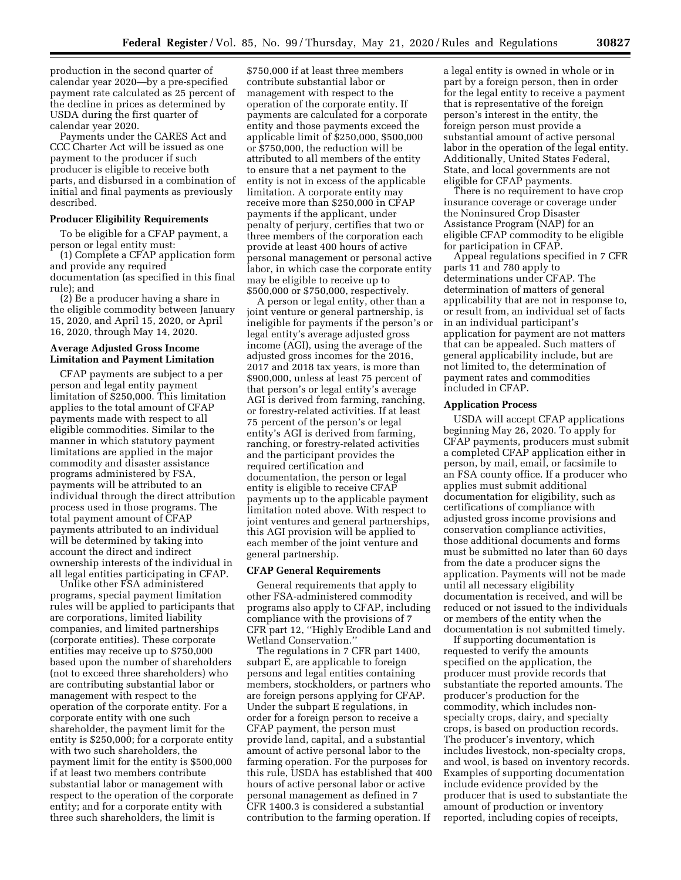production in the second quarter of calendar year 2020—by a pre-specified payment rate calculated as 25 percent of the decline in prices as determined by USDA during the first quarter of calendar year 2020.

Payments under the CARES Act and CCC Charter Act will be issued as one payment to the producer if such producer is eligible to receive both parts, and disbursed in a combination of initial and final payments as previously described.

#### **Producer Eligibility Requirements**

To be eligible for a CFAP payment, a person or legal entity must:

(1) Complete a CFAP application form and provide any required

documentation (as specified in this final rule); and (2) Be a producer having a share in

the eligible commodity between January 15, 2020, and April 15, 2020, or April 16, 2020, through May 14, 2020.

## **Average Adjusted Gross Income Limitation and Payment Limitation**

CFAP payments are subject to a per person and legal entity payment limitation of \$250,000. This limitation applies to the total amount of CFAP payments made with respect to all eligible commodities. Similar to the manner in which statutory payment limitations are applied in the major commodity and disaster assistance programs administered by FSA, payments will be attributed to an individual through the direct attribution process used in those programs. The total payment amount of CFAP payments attributed to an individual will be determined by taking into account the direct and indirect ownership interests of the individual in all legal entities participating in CFAP.

Unlike other FSA administered programs, special payment limitation rules will be applied to participants that are corporations, limited liability companies, and limited partnerships (corporate entities). These corporate entities may receive up to \$750,000 based upon the number of shareholders (not to exceed three shareholders) who are contributing substantial labor or management with respect to the operation of the corporate entity. For a corporate entity with one such shareholder, the payment limit for the entity is \$250,000; for a corporate entity with two such shareholders, the payment limit for the entity is \$500,000 if at least two members contribute substantial labor or management with respect to the operation of the corporate entity; and for a corporate entity with three such shareholders, the limit is

\$750,000 if at least three members contribute substantial labor or management with respect to the operation of the corporate entity. If payments are calculated for a corporate entity and those payments exceed the applicable limit of \$250,000, \$500,000 or \$750,000, the reduction will be attributed to all members of the entity to ensure that a net payment to the entity is not in excess of the applicable limitation. A corporate entity may receive more than \$250,000 in CFAP payments if the applicant, under penalty of perjury, certifies that two or three members of the corporation each provide at least 400 hours of active personal management or personal active labor, in which case the corporate entity may be eligible to receive up to \$500,000 or \$750,000, respectively.

A person or legal entity, other than a joint venture or general partnership, is ineligible for payments if the person's or legal entity's average adjusted gross income (AGI), using the average of the adjusted gross incomes for the 2016, 2017 and 2018 tax years, is more than \$900,000, unless at least 75 percent of that person's or legal entity's average AGI is derived from farming, ranching, or forestry-related activities. If at least 75 percent of the person's or legal entity's AGI is derived from farming, ranching, or forestry-related activities and the participant provides the required certification and documentation, the person or legal entity is eligible to receive CFAP payments up to the applicable payment limitation noted above. With respect to joint ventures and general partnerships, this AGI provision will be applied to each member of the joint venture and general partnership.

#### **CFAP General Requirements**

General requirements that apply to other FSA-administered commodity programs also apply to CFAP, including compliance with the provisions of 7 CFR part 12, ''Highly Erodible Land and Wetland Conservation.''

The regulations in 7 CFR part 1400, subpart E, are applicable to foreign persons and legal entities containing members, stockholders, or partners who are foreign persons applying for CFAP. Under the subpart E regulations, in order for a foreign person to receive a CFAP payment, the person must provide land, capital, and a substantial amount of active personal labor to the farming operation. For the purposes for this rule, USDA has established that 400 hours of active personal labor or active personal management as defined in 7 CFR 1400.3 is considered a substantial contribution to the farming operation. If

a legal entity is owned in whole or in part by a foreign person, then in order for the legal entity to receive a payment that is representative of the foreign person's interest in the entity, the foreign person must provide a substantial amount of active personal labor in the operation of the legal entity. Additionally, United States Federal, State, and local governments are not eligible for CFAP payments.

There is no requirement to have crop insurance coverage or coverage under the Noninsured Crop Disaster Assistance Program (NAP) for an eligible CFAP commodity to be eligible for participation in CFAP.

Appeal regulations specified in 7 CFR parts 11 and 780 apply to determinations under CFAP. The determination of matters of general applicability that are not in response to, or result from, an individual set of facts in an individual participant's application for payment are not matters that can be appealed. Such matters of general applicability include, but are not limited to, the determination of payment rates and commodities included in CFAP.

#### **Application Process**

USDA will accept CFAP applications beginning May 26, 2020. To apply for CFAP payments, producers must submit a completed CFAP application either in person, by mail, email, or facsimile to an FSA county office. If a producer who applies must submit additional documentation for eligibility, such as certifications of compliance with adjusted gross income provisions and conservation compliance activities, those additional documents and forms must be submitted no later than 60 days from the date a producer signs the application. Payments will not be made until all necessary eligibility documentation is received, and will be reduced or not issued to the individuals or members of the entity when the documentation is not submitted timely.

If supporting documentation is requested to verify the amounts specified on the application, the producer must provide records that substantiate the reported amounts. The producer's production for the commodity, which includes nonspecialty crops, dairy, and specialty crops, is based on production records. The producer's inventory, which includes livestock, non-specialty crops, and wool, is based on inventory records. Examples of supporting documentation include evidence provided by the producer that is used to substantiate the amount of production or inventory reported, including copies of receipts,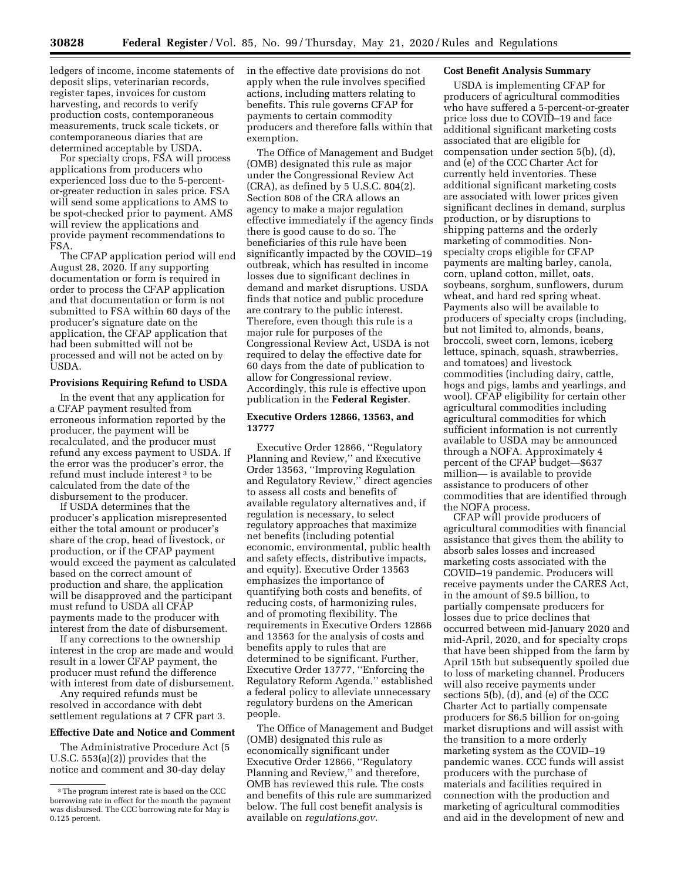ledgers of income, income statements of deposit slips, veterinarian records, register tapes, invoices for custom harvesting, and records to verify production costs, contemporaneous measurements, truck scale tickets, or contemporaneous diaries that are determined acceptable by USDA.

For specialty crops, FSA will process applications from producers who experienced loss due to the 5-percentor-greater reduction in sales price. FSA will send some applications to AMS to be spot-checked prior to payment. AMS will review the applications and provide payment recommendations to FSA.

The CFAP application period will end August 28, 2020. If any supporting documentation or form is required in order to process the CFAP application and that documentation or form is not submitted to FSA within 60 days of the producer's signature date on the application, the CFAP application that had been submitted will not be processed and will not be acted on by USDA.

#### **Provisions Requiring Refund to USDA**

In the event that any application for a CFAP payment resulted from erroneous information reported by the producer, the payment will be recalculated, and the producer must refund any excess payment to USDA. If the error was the producer's error, the refund must include interest 3 to be calculated from the date of the disbursement to the producer.

If USDA determines that the producer's application misrepresented either the total amount or producer's share of the crop, head of livestock, or production, or if the CFAP payment would exceed the payment as calculated based on the correct amount of production and share, the application will be disapproved and the participant must refund to USDA all CFAP payments made to the producer with interest from the date of disbursement.

If any corrections to the ownership interest in the crop are made and would result in a lower CFAP payment, the producer must refund the difference with interest from date of disbursement.

Any required refunds must be resolved in accordance with debt settlement regulations at 7 CFR part 3.

#### **Effective Date and Notice and Comment**

The Administrative Procedure Act (5 U.S.C. 553(a)(2)) provides that the notice and comment and 30-day delay

in the effective date provisions do not apply when the rule involves specified actions, including matters relating to benefits. This rule governs CFAP for payments to certain commodity producers and therefore falls within that exemption.

The Office of Management and Budget (OMB) designated this rule as major under the Congressional Review Act (CRA), as defined by 5 U.S.C. 804(2). Section 808 of the CRA allows an agency to make a major regulation effective immediately if the agency finds there is good cause to do so. The beneficiaries of this rule have been significantly impacted by the COVID–19 outbreak, which has resulted in income losses due to significant declines in demand and market disruptions. USDA finds that notice and public procedure are contrary to the public interest. Therefore, even though this rule is a major rule for purposes of the Congressional Review Act, USDA is not required to delay the effective date for 60 days from the date of publication to allow for Congressional review. Accordingly, this rule is effective upon publication in the **Federal Register**.

## **Executive Orders 12866, 13563, and 13777**

Executive Order 12866, ''Regulatory Planning and Review,'' and Executive Order 13563, ''Improving Regulation and Regulatory Review,'' direct agencies to assess all costs and benefits of available regulatory alternatives and, if regulation is necessary, to select regulatory approaches that maximize net benefits (including potential economic, environmental, public health and safety effects, distributive impacts, and equity). Executive Order 13563 emphasizes the importance of quantifying both costs and benefits, of reducing costs, of harmonizing rules, and of promoting flexibility. The requirements in Executive Orders 12866 and 13563 for the analysis of costs and benefits apply to rules that are determined to be significant. Further, Executive Order 13777, ''Enforcing the Regulatory Reform Agenda,'' established a federal policy to alleviate unnecessary regulatory burdens on the American people.

The Office of Management and Budget (OMB) designated this rule as economically significant under Executive Order 12866, ''Regulatory Planning and Review,'' and therefore, OMB has reviewed this rule. The costs and benefits of this rule are summarized below. The full cost benefit analysis is available on *regulations.gov*.

## **Cost Benefit Analysis Summary**

USDA is implementing CFAP for producers of agricultural commodities who have suffered a 5-percent-or-greater price loss due to COVID–19 and face additional significant marketing costs associated that are eligible for compensation under section 5(b), (d), and (e) of the CCC Charter Act for currently held inventories. These additional significant marketing costs are associated with lower prices given significant declines in demand, surplus production, or by disruptions to shipping patterns and the orderly marketing of commodities. Nonspecialty crops eligible for CFAP payments are malting barley, canola, corn, upland cotton, millet, oats, soybeans, sorghum, sunflowers, durum wheat, and hard red spring wheat. Payments also will be available to producers of specialty crops (including, but not limited to, almonds, beans, broccoli, sweet corn, lemons, iceberg lettuce, spinach, squash, strawberries, and tomatoes) and livestock commodities (including dairy, cattle, hogs and pigs, lambs and yearlings, and wool). CFAP eligibility for certain other agricultural commodities including agricultural commodities for which sufficient information is not currently available to USDA may be announced through a NOFA. Approximately 4 percent of the CFAP budget—\$637 million— is available to provide assistance to producers of other commodities that are identified through the NOFA process.

CFAP will provide producers of agricultural commodities with financial assistance that gives them the ability to absorb sales losses and increased marketing costs associated with the COVID–19 pandemic. Producers will receive payments under the CARES Act, in the amount of \$9.5 billion, to partially compensate producers for losses due to price declines that occurred between mid-January 2020 and mid-April, 2020, and for specialty crops that have been shipped from the farm by April 15th but subsequently spoiled due to loss of marketing channel. Producers will also receive payments under sections 5(b), (d), and (e) of the CCC Charter Act to partially compensate producers for \$6.5 billion for on-going market disruptions and will assist with the transition to a more orderly marketing system as the COVID–19 pandemic wanes. CCC funds will assist producers with the purchase of materials and facilities required in connection with the production and marketing of agricultural commodities and aid in the development of new and

<sup>3</sup>The program interest rate is based on the CCC borrowing rate in effect for the month the payment was disbursed. The CCC borrowing rate for May is 0.125 percent.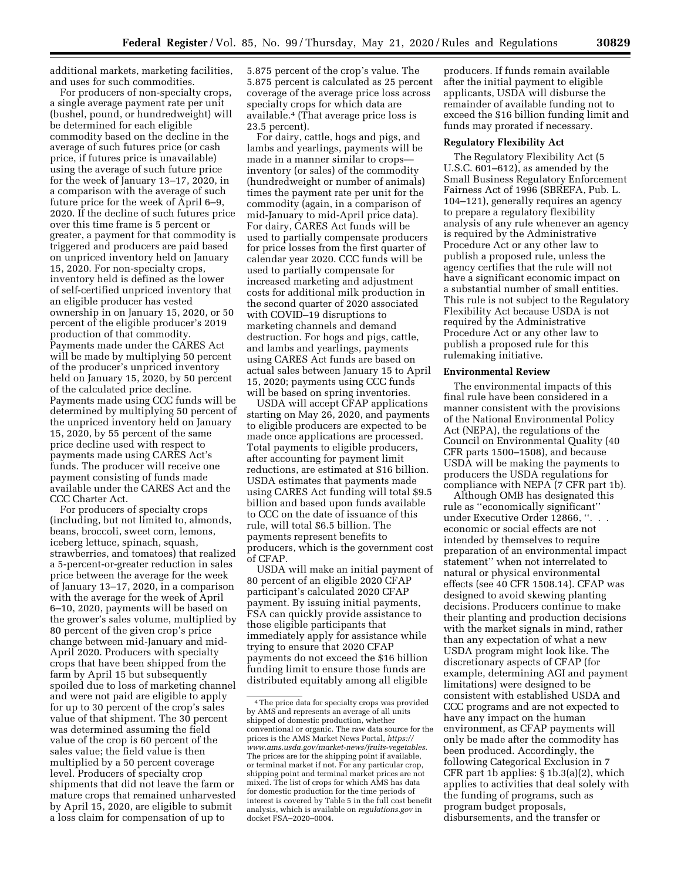additional markets, marketing facilities, and uses for such commodities.

For producers of non-specialty crops, a single average payment rate per unit (bushel, pound, or hundredweight) will be determined for each eligible commodity based on the decline in the average of such futures price (or cash price, if futures price is unavailable) using the average of such future price for the week of January 13–17, 2020, in a comparison with the average of such future price for the week of April 6–9, 2020. If the decline of such futures price over this time frame is 5 percent or greater, a payment for that commodity is triggered and producers are paid based on unpriced inventory held on January 15, 2020. For non-specialty crops, inventory held is defined as the lower of self-certified unpriced inventory that an eligible producer has vested ownership in on January 15, 2020, or 50 percent of the eligible producer's 2019 production of that commodity. Payments made under the CARES Act will be made by multiplying 50 percent of the producer's unpriced inventory held on January 15, 2020, by 50 percent of the calculated price decline. Payments made using CCC funds will be determined by multiplying 50 percent of the unpriced inventory held on January 15, 2020, by 55 percent of the same price decline used with respect to payments made using CARES Act's funds. The producer will receive one payment consisting of funds made available under the CARES Act and the CCC Charter Act.

For producers of specialty crops (including, but not limited to, almonds, beans, broccoli, sweet corn, lemons, iceberg lettuce, spinach, squash, strawberries, and tomatoes) that realized a 5-percent-or-greater reduction in sales price between the average for the week of January 13–17, 2020, in a comparison with the average for the week of April 6–10, 2020, payments will be based on the grower's sales volume, multiplied by 80 percent of the given crop's price change between mid-January and mid-April 2020. Producers with specialty crops that have been shipped from the farm by April 15 but subsequently spoiled due to loss of marketing channel and were not paid are eligible to apply for up to 30 percent of the crop's sales value of that shipment. The 30 percent was determined assuming the field value of the crop is 60 percent of the sales value; the field value is then multiplied by a 50 percent coverage level. Producers of specialty crop shipments that did not leave the farm or mature crops that remained unharvested by April 15, 2020, are eligible to submit a loss claim for compensation of up to

5.875 percent of the crop's value. The 5.875 percent is calculated as 25 percent coverage of the average price loss across specialty crops for which data are available.4 (That average price loss is 23.5 percent).

For dairy, cattle, hogs and pigs, and lambs and yearlings, payments will be made in a manner similar to crops inventory (or sales) of the commodity (hundredweight or number of animals) times the payment rate per unit for the commodity (again, in a comparison of mid-January to mid-April price data). For dairy, CARES Act funds will be used to partially compensate producers for price losses from the first quarter of calendar year 2020. CCC funds will be used to partially compensate for increased marketing and adjustment costs for additional milk production in the second quarter of 2020 associated with COVID–19 disruptions to marketing channels and demand destruction. For hogs and pigs, cattle, and lambs and yearlings, payments using CARES Act funds are based on actual sales between January 15 to April 15, 2020; payments using CCC funds will be based on spring inventories.

USDA will accept CFAP applications starting on May 26, 2020, and payments to eligible producers are expected to be made once applications are processed. Total payments to eligible producers, after accounting for payment limit reductions, are estimated at \$16 billion. USDA estimates that payments made using CARES Act funding will total \$9.5 billion and based upon funds available to CCC on the date of issuance of this rule, will total \$6.5 billion. The payments represent benefits to producers, which is the government cost of CFAP.

USDA will make an initial payment of 80 percent of an eligible 2020 CFAP participant's calculated 2020 CFAP payment. By issuing initial payments, FSA can quickly provide assistance to those eligible participants that immediately apply for assistance while trying to ensure that 2020 CFAP payments do not exceed the \$16 billion funding limit to ensure those funds are distributed equitably among all eligible

producers. If funds remain available after the initial payment to eligible applicants, USDA will disburse the remainder of available funding not to exceed the \$16 billion funding limit and funds may prorated if necessary.

#### **Regulatory Flexibility Act**

The Regulatory Flexibility Act (5 U.S.C. 601–612), as amended by the Small Business Regulatory Enforcement Fairness Act of 1996 (SBREFA, Pub. L. 104–121), generally requires an agency to prepare a regulatory flexibility analysis of any rule whenever an agency is required by the Administrative Procedure Act or any other law to publish a proposed rule, unless the agency certifies that the rule will not have a significant economic impact on a substantial number of small entities. This rule is not subject to the Regulatory Flexibility Act because USDA is not required by the Administrative Procedure Act or any other law to publish a proposed rule for this rulemaking initiative.

#### **Environmental Review**

The environmental impacts of this final rule have been considered in a manner consistent with the provisions of the National Environmental Policy Act (NEPA), the regulations of the Council on Environmental Quality (40 CFR parts 1500–1508), and because USDA will be making the payments to producers the USDA regulations for compliance with NEPA (7 CFR part 1b).

Although OMB has designated this rule as ''economically significant'' under Executive Order 12866, ''. . . economic or social effects are not intended by themselves to require preparation of an environmental impact statement'' when not interrelated to natural or physical environmental effects (see 40 CFR 1508.14). CFAP was designed to avoid skewing planting decisions. Producers continue to make their planting and production decisions with the market signals in mind, rather than any expectation of what a new USDA program might look like. The discretionary aspects of CFAP (for example, determining AGI and payment limitations) were designed to be consistent with established USDA and CCC programs and are not expected to have any impact on the human environment, as CFAP payments will only be made after the commodity has been produced. Accordingly, the following Categorical Exclusion in 7 CFR part 1b applies: § 1b.3(a)(2), which applies to activities that deal solely with the funding of programs, such as program budget proposals, disbursements, and the transfer or

<sup>4</sup>The price data for specialty crops was provided by AMS and represents an average of all units shipped of domestic production, whether conventional or organic. The raw data source for the prices is the AMS Market News Portal, *[https://](https://www.ams.usda.gov/market-news/fruits-vegetables) [www.ams.usda.gov/market-news/fruits-vegetables.](https://www.ams.usda.gov/market-news/fruits-vegetables)*  The prices are for the shipping point if available, or terminal market if not. For any particular crop, shipping point and terminal market prices are not mixed. The list of crops for which AMS has data for domestic production for the time periods of interest is covered by Table 5 in the full cost benefit analysis, which is available on *regulations.gov* in docket FSA–2020–0004.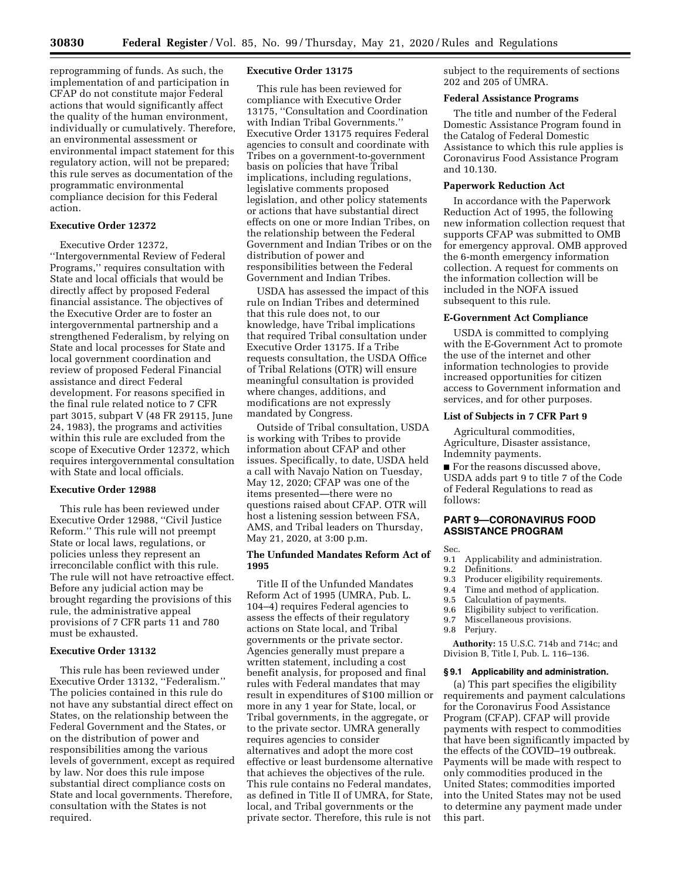reprogramming of funds. As such, the implementation of and participation in CFAP do not constitute major Federal actions that would significantly affect the quality of the human environment, individually or cumulatively. Therefore, an environmental assessment or environmental impact statement for this regulatory action, will not be prepared; this rule serves as documentation of the programmatic environmental compliance decision for this Federal action.

## **Executive Order 12372**

Executive Order 12372, ''Intergovernmental Review of Federal Programs,'' requires consultation with State and local officials that would be directly affect by proposed Federal financial assistance. The objectives of the Executive Order are to foster an intergovernmental partnership and a strengthened Federalism, by relying on State and local processes for State and local government coordination and review of proposed Federal Financial assistance and direct Federal development. For reasons specified in the final rule related notice to 7 CFR part 3015, subpart V (48 FR 29115, June 24, 1983), the programs and activities within this rule are excluded from the scope of Executive Order 12372, which requires intergovernmental consultation with State and local officials.

#### **Executive Order 12988**

This rule has been reviewed under Executive Order 12988, ''Civil Justice Reform.'' This rule will not preempt State or local laws, regulations, or policies unless they represent an irreconcilable conflict with this rule. The rule will not have retroactive effect. Before any judicial action may be brought regarding the provisions of this rule, the administrative appeal provisions of 7 CFR parts 11 and 780 must be exhausted.

## **Executive Order 13132**

This rule has been reviewed under Executive Order 13132, ''Federalism.'' The policies contained in this rule do not have any substantial direct effect on States, on the relationship between the Federal Government and the States, or on the distribution of power and responsibilities among the various levels of government, except as required by law. Nor does this rule impose substantial direct compliance costs on State and local governments. Therefore, consultation with the States is not required.

#### **Executive Order 13175**

This rule has been reviewed for compliance with Executive Order 13175, ''Consultation and Coordination with Indian Tribal Governments.'' Executive Order 13175 requires Federal agencies to consult and coordinate with Tribes on a government-to-government basis on policies that have Tribal implications, including regulations, legislative comments proposed legislation, and other policy statements or actions that have substantial direct effects on one or more Indian Tribes, on the relationship between the Federal Government and Indian Tribes or on the distribution of power and responsibilities between the Federal Government and Indian Tribes.

USDA has assessed the impact of this rule on Indian Tribes and determined that this rule does not, to our knowledge, have Tribal implications that required Tribal consultation under Executive Order 13175. If a Tribe requests consultation, the USDA Office of Tribal Relations (OTR) will ensure meaningful consultation is provided where changes, additions, and modifications are not expressly mandated by Congress.

Outside of Tribal consultation, USDA is working with Tribes to provide information about CFAP and other issues. Specifically, to date, USDA held a call with Navajo Nation on Tuesday, May 12, 2020; CFAP was one of the items presented—there were no questions raised about CFAP. OTR will host a listening session between FSA, AMS, and Tribal leaders on Thursday, May 21, 2020, at 3:00 p.m.

## **The Unfunded Mandates Reform Act of 1995**

Title II of the Unfunded Mandates Reform Act of 1995 (UMRA, Pub. L. 104–4) requires Federal agencies to assess the effects of their regulatory actions on State local, and Tribal governments or the private sector. Agencies generally must prepare a written statement, including a cost benefit analysis, for proposed and final rules with Federal mandates that may result in expenditures of \$100 million or more in any 1 year for State, local, or Tribal governments, in the aggregate, or to the private sector. UMRA generally requires agencies to consider alternatives and adopt the more cost effective or least burdensome alternative that achieves the objectives of the rule. This rule contains no Federal mandates, as defined in Title II of UMRA, for State, local, and Tribal governments or the private sector. Therefore, this rule is not

subject to the requirements of sections 202 and 205 of UMRA.

#### **Federal Assistance Programs**

The title and number of the Federal Domestic Assistance Program found in the Catalog of Federal Domestic Assistance to which this rule applies is Coronavirus Food Assistance Program and 10.130.

#### **Paperwork Reduction Act**

In accordance with the Paperwork Reduction Act of 1995, the following new information collection request that supports CFAP was submitted to OMB for emergency approval. OMB approved the 6-month emergency information collection. A request for comments on the information collection will be included in the NOFA issued subsequent to this rule.

#### **E-Government Act Compliance**

USDA is committed to complying with the E-Government Act to promote the use of the internet and other information technologies to provide increased opportunities for citizen access to Government information and services, and for other purposes.

## **List of Subjects in 7 CFR Part 9**

Agricultural commodities, Agriculture, Disaster assistance, Indemnity payments.

■ For the reasons discussed above, USDA adds part 9 to title 7 of the Code of Federal Regulations to read as follows:

## **PART 9—CORONAVIRUS FOOD ASSISTANCE PROGRAM**

Sec.

- 9.1 Applicability and administration.<br>9.2 Definitions.
	- Definitions.
- 9.3 Producer eligibility requirements.
- 9.4 Time and method of application.
- 9.5 Calculation of payments.
- 9.6 Eligibility subject to verification.
- 9.7 Miscellaneous provisions.
- 
- 9.8 Perjury.

**Authority:** 15 U.S.C. 714b and 714c; and Division B, Title I, Pub. L. 116–136.

## **§ 9.1 Applicability and administration.**

(a) This part specifies the eligibility requirements and payment calculations for the Coronavirus Food Assistance Program (CFAP). CFAP will provide payments with respect to commodities that have been significantly impacted by the effects of the COVID–19 outbreak. Payments will be made with respect to only commodities produced in the United States; commodities imported into the United States may not be used to determine any payment made under this part.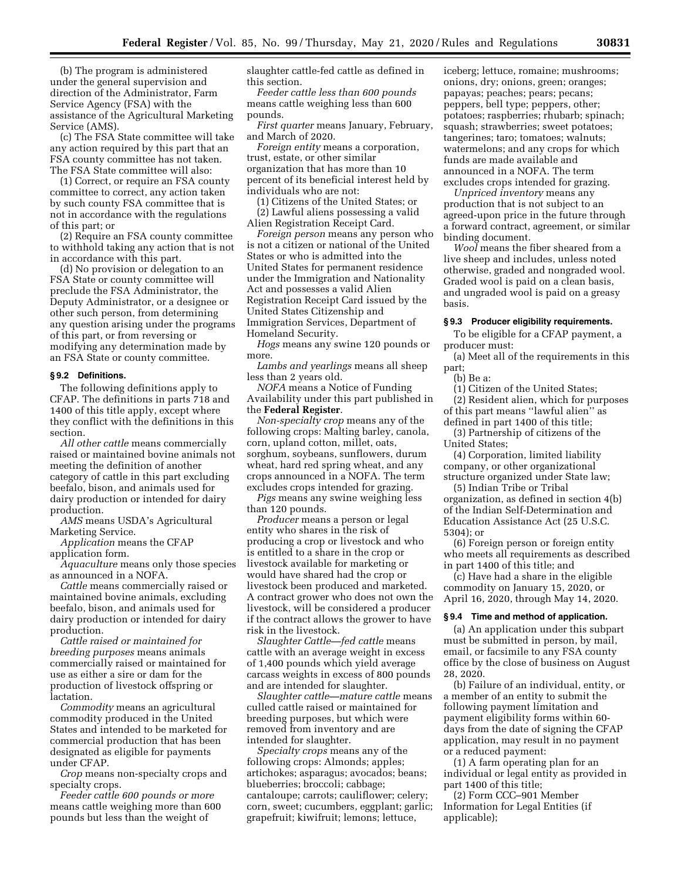(b) The program is administered under the general supervision and direction of the Administrator, Farm Service Agency (FSA) with the assistance of the Agricultural Marketing Service (AMS).

(c) The FSA State committee will take any action required by this part that an FSA county committee has not taken. The FSA State committee will also:

(1) Correct, or require an FSA county committee to correct, any action taken by such county FSA committee that is not in accordance with the regulations of this part; or

(2) Require an FSA county committee to withhold taking any action that is not in accordance with this part.

(d) No provision or delegation to an FSA State or county committee will preclude the FSA Administrator, the Deputy Administrator, or a designee or other such person, from determining any question arising under the programs of this part, or from reversing or modifying any determination made by an FSA State or county committee.

#### **§ 9.2 Definitions.**

The following definitions apply to CFAP. The definitions in parts 718 and 1400 of this title apply, except where they conflict with the definitions in this section.

*All other cattle* means commercially raised or maintained bovine animals not meeting the definition of another category of cattle in this part excluding beefalo, bison, and animals used for dairy production or intended for dairy production.

*AMS* means USDA's Agricultural Marketing Service.

*Application* means the CFAP application form.

*Aquaculture* means only those species as announced in a NOFA.

*Cattle* means commercially raised or maintained bovine animals, excluding beefalo, bison, and animals used for dairy production or intended for dairy production.

*Cattle raised or maintained for breeding purposes* means animals commercially raised or maintained for use as either a sire or dam for the production of livestock offspring or lactation.

*Commodity* means an agricultural commodity produced in the United States and intended to be marketed for commercial production that has been designated as eligible for payments under CFAP.

*Crop* means non-specialty crops and specialty crops.

*Feeder cattle 600 pounds or more*  means cattle weighing more than 600 pounds but less than the weight of

slaughter cattle-fed cattle as defined in this section.

*Feeder cattle less than 600 pounds*  means cattle weighing less than 600 pounds.

*First quarter* means January, February, and March of 2020.

*Foreign entity* means a corporation, trust, estate, or other similar organization that has more than 10 percent of its beneficial interest held by individuals who are not:

(1) Citizens of the United States; or

(2) Lawful aliens possessing a valid Alien Registration Receipt Card.

*Foreign person* means any person who is not a citizen or national of the United States or who is admitted into the United States for permanent residence under the Immigration and Nationality Act and possesses a valid Alien Registration Receipt Card issued by the United States Citizenship and Immigration Services, Department of Homeland Security.

*Hogs* means any swine 120 pounds or more.

*Lambs and yearlings* means all sheep less than 2 years old.

*NOFA* means a Notice of Funding Availability under this part published in the **Federal Register**.

*Non-specialty crop* means any of the following crops: Malting barley, canola, corn, upland cotton, millet, oats, sorghum, soybeans, sunflowers, durum wheat, hard red spring wheat, and any crops announced in a NOFA. The term excludes crops intended for grazing.

*Pigs* means any swine weighing less than 120 pounds.

*Producer* means a person or legal entity who shares in the risk of producing a crop or livestock and who is entitled to a share in the crop or livestock available for marketing or would have shared had the crop or livestock been produced and marketed. A contract grower who does not own the livestock, will be considered a producer if the contract allows the grower to have risk in the livestock.

*Slaughter Cattle—fed cattle* means cattle with an average weight in excess of 1,400 pounds which yield average carcass weights in excess of 800 pounds and are intended for slaughter.

*Slaughter cattle—mature cattle* means culled cattle raised or maintained for breeding purposes, but which were removed from inventory and are intended for slaughter.

*Specialty crops* means any of the following crops: Almonds; apples; artichokes; asparagus; avocados; beans; blueberries; broccoli; cabbage; cantaloupe; carrots; cauliflower; celery; corn, sweet; cucumbers, eggplant; garlic; grapefruit; kiwifruit; lemons; lettuce,

iceberg; lettuce, romaine; mushrooms; onions, dry; onions, green; oranges; papayas; peaches; pears; pecans; peppers, bell type; peppers, other; potatoes; raspberries; rhubarb; spinach; squash; strawberries; sweet potatoes; tangerines; taro; tomatoes; walnuts; watermelons; and any crops for which funds are made available and announced in a NOFA. The term excludes crops intended for grazing.

*Unpriced inventory* means any production that is not subject to an agreed-upon price in the future through a forward contract, agreement, or similar binding document.

*Wool* means the fiber sheared from a live sheep and includes, unless noted otherwise, graded and nongraded wool. Graded wool is paid on a clean basis, and ungraded wool is paid on a greasy basis.

#### **§ 9.3 Producer eligibility requirements.**

To be eligible for a CFAP payment, a producer must:

(a) Meet all of the requirements in this part;

(b) Be a:

(1) Citizen of the United States; (2) Resident alien, which for purposes

of this part means ''lawful alien'' as defined in part 1400 of this title;

(3) Partnership of citizens of the United States;

(4) Corporation, limited liability company, or other organizational structure organized under State law;

(5) Indian Tribe or Tribal organization, as defined in section 4(b) of the Indian Self-Determination and Education Assistance Act (25 U.S.C. 5304); or

(6) Foreign person or foreign entity who meets all requirements as described in part 1400 of this title; and

(c) Have had a share in the eligible commodity on January 15, 2020, or April 16, 2020, through May 14, 2020.

#### **§ 9.4 Time and method of application.**

(a) An application under this subpart must be submitted in person, by mail, email, or facsimile to any FSA county office by the close of business on August 28, 2020.

(b) Failure of an individual, entity, or a member of an entity to submit the following payment limitation and payment eligibility forms within 60 days from the date of signing the CFAP application, may result in no payment or a reduced payment:

(1) A farm operating plan for an individual or legal entity as provided in part 1400 of this title;

(2) Form CCC–901 Member Information for Legal Entities (if applicable);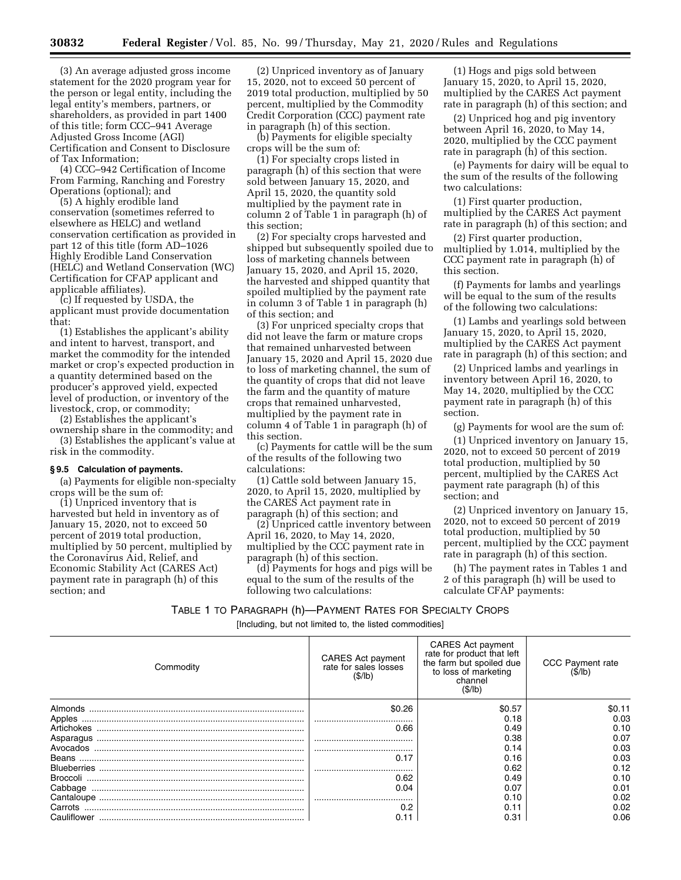(3) An average adjusted gross income statement for the 2020 program year for the person or legal entity, including the legal entity's members, partners, or shareholders, as provided in part 1400 of this title; form CCC–941 Average Adjusted Gross Income (AGI) Certification and Consent to Disclosure of Tax Information;

(4) CCC–942 Certification of Income From Farming, Ranching and Forestry Operations (optional); and

(5) A highly erodible land conservation (sometimes referred to elsewhere as HELC) and wetland conservation certification as provided in part 12 of this title (form AD–1026 Highly Erodible Land Conservation (HELC) and Wetland Conservation (WC) Certification for CFAP applicant and applicable affiliates).

(c) If requested by USDA, the applicant must provide documentation that:

(1) Establishes the applicant's ability and intent to harvest, transport, and market the commodity for the intended market or crop's expected production in a quantity determined based on the producer's approved yield, expected level of production, or inventory of the livestock, crop, or commodity;

(2) Establishes the applicant's

ownership share in the commodity; and (3) Establishes the applicant's value at risk in the commodity.

## **§ 9.5 Calculation of payments.**

(a) Payments for eligible non-specialty crops will be the sum of:

(1) Unpriced inventory that is harvested but held in inventory as of January 15, 2020, not to exceed 50 percent of 2019 total production, multiplied by 50 percent, multiplied by the Coronavirus Aid, Relief, and Economic Stability Act (CARES Act) payment rate in paragraph (h) of this section; and

(2) Unpriced inventory as of January 15, 2020, not to exceed 50 percent of 2019 total production, multiplied by 50 percent, multiplied by the Commodity Credit Corporation (CCC) payment rate in paragraph (h) of this section.

(b) Payments for eligible specialty crops will be the sum of:

(1) For specialty crops listed in paragraph (h) of this section that were sold between January 15, 2020, and April 15, 2020, the quantity sold multiplied by the payment rate in column 2 of Table 1 in paragraph (h) of this section;

(2) For specialty crops harvested and shipped but subsequently spoiled due to loss of marketing channels between January 15, 2020, and April 15, 2020, the harvested and shipped quantity that spoiled multiplied by the payment rate in column 3 of Table 1 in paragraph (h) of this section; and

(3) For unpriced specialty crops that did not leave the farm or mature crops that remained unharvested between January 15, 2020 and April 15, 2020 due to loss of marketing channel, the sum of the quantity of crops that did not leave the farm and the quantity of mature crops that remained unharvested, multiplied by the payment rate in column 4 of Table 1 in paragraph (h) of this section.

(c) Payments for cattle will be the sum of the results of the following two calculations:

(1) Cattle sold between January 15, 2020, to April 15, 2020, multiplied by the CARES Act payment rate in paragraph (h) of this section; and

(2) Unpriced cattle inventory between April 16, 2020, to May 14, 2020, multiplied by the CCC payment rate in paragraph (h) of this section.

(d) Payments for hogs and pigs will be equal to the sum of the results of the following two calculations:

(1) Hogs and pigs sold between January 15, 2020, to April 15, 2020, multiplied by the CARES Act payment rate in paragraph (h) of this section; and

(2) Unpriced hog and pig inventory between April 16, 2020, to May 14, 2020, multiplied by the CCC payment rate in paragraph (h) of this section.

(e) Payments for dairy will be equal to the sum of the results of the following two calculations:

(1) First quarter production, multiplied by the CARES Act payment rate in paragraph (h) of this section; and

(2) First quarter production, multiplied by 1.014, multiplied by the CCC payment rate in paragraph (h) of this section.

(f) Payments for lambs and yearlings will be equal to the sum of the results of the following two calculations:

(1) Lambs and yearlings sold between January 15, 2020, to April 15, 2020, multiplied by the CARES Act payment rate in paragraph (h) of this section; and

(2) Unpriced lambs and yearlings in inventory between April 16, 2020, to May 14, 2020, multiplied by the CCC payment rate in paragraph (h) of this section.

(g) Payments for wool are the sum of:

(1) Unpriced inventory on January 15, 2020, not to exceed 50 percent of 2019 total production, multiplied by 50 percent, multiplied by the CARES Act payment rate paragraph (h) of this section; and

(2) Unpriced inventory on January 15, 2020, not to exceed 50 percent of 2019 total production, multiplied by 50 percent, multiplied by the CCC payment rate in paragraph (h) of this section.

(h) The payment rates in Tables 1 and 2 of this paragraph (h) will be used to calculate CFAP payments:

TABLE 1 TO PARAGRAPH (h)—PAYMENT RATES FOR SPECIALTY CROPS [Including, but not limited to, the listed commodities]

| Commodity  | CARES Act payment<br>rate for sales losses<br>(S/lb) | CARES Act payment<br>rate for product that left<br>the farm but spoiled due<br>to loss of marketing<br>channel<br>(\$/lb) | <b>CCC Payment rate</b><br>(15/16) |
|------------|------------------------------------------------------|---------------------------------------------------------------------------------------------------------------------------|------------------------------------|
| Almonds    | \$0.26                                               | \$0.57                                                                                                                    | \$0.11                             |
|            |                                                      | 0.18                                                                                                                      | 0.03                               |
| Artichokes | 0.66                                                 | 0.49                                                                                                                      | 0.10                               |
|            |                                                      | 0.38                                                                                                                      | 0.07                               |
|            |                                                      | 0.14                                                                                                                      | 0.03                               |
| Beans      |                                                      | 0.16                                                                                                                      | 0.03                               |
|            |                                                      | 0.62                                                                                                                      | 0.12                               |
|            | 0.62                                                 | 0.49                                                                                                                      | 0.10                               |
| Cabbage    | 0.04                                                 | 0.07                                                                                                                      | 0.01                               |
|            |                                                      | 0.10                                                                                                                      | 0.02                               |
| Carrots    |                                                      | 0.11                                                                                                                      | 0.02                               |
|            |                                                      | 0.31                                                                                                                      | 0.06                               |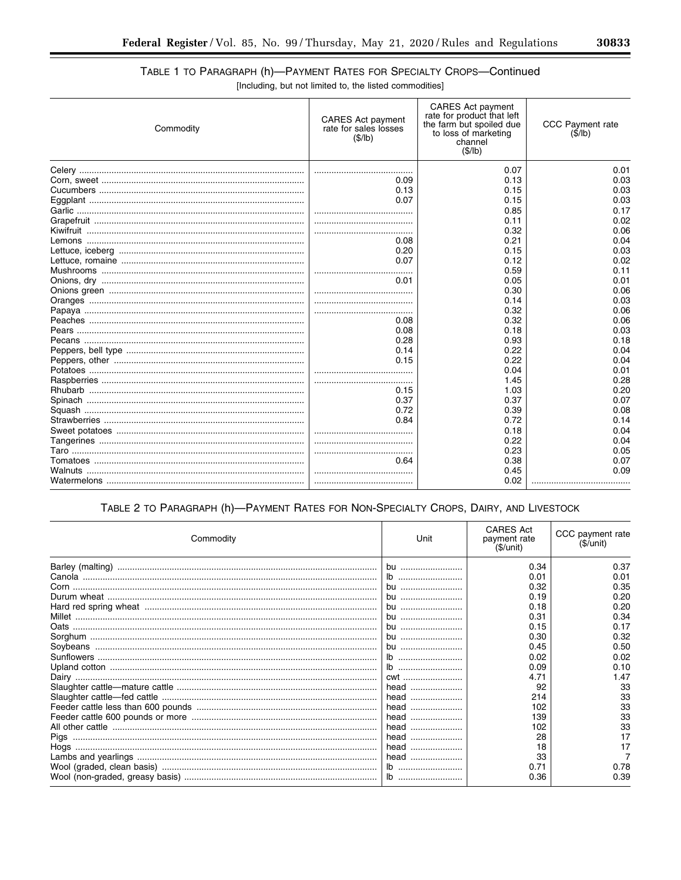۰

# TABLE 1 TO PARAGRAPH (h)-PAYMENT RATES FOR SPECIALTY CROPS-Continued

[Including, but not limited to, the listed commodities]

| Commodity | <b>CARES</b> Act payment<br>rate for product that left<br><b>CARES</b> Act payment<br>the farm but spoiled due<br>rate for sales losses<br>to loss of marketing<br>(\$/lb)<br>channel<br>(\$/lb) |      | CCC Payment rate<br>(S/lb) |  |
|-----------|--------------------------------------------------------------------------------------------------------------------------------------------------------------------------------------------------|------|----------------------------|--|
|           |                                                                                                                                                                                                  | 0.07 | 0.01                       |  |
|           | 0.09                                                                                                                                                                                             | 0.13 | 0.03                       |  |
|           | 0.13                                                                                                                                                                                             | 0.15 | 0.03                       |  |
|           | 0.07                                                                                                                                                                                             | 0.15 | 0.03                       |  |
|           |                                                                                                                                                                                                  | 0.85 | 0.17                       |  |
|           |                                                                                                                                                                                                  | 0.11 | 0.02                       |  |
|           |                                                                                                                                                                                                  | 0.32 | 0.06                       |  |
|           | 0.08                                                                                                                                                                                             | 0.21 | 0.04                       |  |
|           | 0.20                                                                                                                                                                                             | 0.15 | 0.03                       |  |
|           | 0.07                                                                                                                                                                                             | 0.12 | 0.02                       |  |
|           |                                                                                                                                                                                                  | 0.59 | 0.11                       |  |
|           | 0.01                                                                                                                                                                                             | 0.05 | 0.01                       |  |
|           |                                                                                                                                                                                                  | 0.30 | 0.06                       |  |
|           |                                                                                                                                                                                                  | 0.14 | 0.03                       |  |
|           |                                                                                                                                                                                                  | 0.32 | 0.06                       |  |
|           | 0.08                                                                                                                                                                                             | 0.32 | 0.06                       |  |
|           | 0.08                                                                                                                                                                                             | 0.18 | 0.03                       |  |
|           | 0.28                                                                                                                                                                                             | 0.93 | 0.18                       |  |
|           | 0.14                                                                                                                                                                                             | 0.22 | 0.04                       |  |
|           | 0.15                                                                                                                                                                                             | 0.22 | 0.04                       |  |
|           |                                                                                                                                                                                                  | 0.04 | 0.01                       |  |
|           |                                                                                                                                                                                                  | 1.45 | 0.28                       |  |
|           | 0.15                                                                                                                                                                                             | 1.03 | 0.20                       |  |
|           | 0.37                                                                                                                                                                                             | 0.37 | 0.07                       |  |
|           | 0.72                                                                                                                                                                                             | 0.39 | 0.08                       |  |
|           | 0.84                                                                                                                                                                                             | 0.72 | 0.14                       |  |
|           |                                                                                                                                                                                                  | 0.18 | 0.04                       |  |
|           |                                                                                                                                                                                                  | 0.22 | 0.04                       |  |
|           |                                                                                                                                                                                                  | 0.23 | 0.05                       |  |
|           | 0.64                                                                                                                                                                                             | 0.38 | 0.07                       |  |
|           |                                                                                                                                                                                                  | 0.45 | 0.09                       |  |
|           |                                                                                                                                                                                                  | 0.02 |                            |  |

## TABLE 2 TO PARAGRAPH (h)-PAYMENT RATES FOR NON-SPECIALTY CROPS, DAIRY, AND LIVESTOCK

| Commodity | Unit          | <b>CARES Act</b><br>payment rate<br>(\$/unit) | CCC payment rate<br>(\$/unit) |
|-----------|---------------|-----------------------------------------------|-------------------------------|
|           | <b>bu</b>     | 0.34                                          | 0.37                          |
|           |               | 0.01                                          | 0.01                          |
|           | bu            | 0.32                                          | 0.35                          |
|           | bu            | 0.19                                          | 0.20                          |
|           | bu            | 0.18                                          | 0.20                          |
|           | bu            | 0.31                                          | 0.34                          |
|           | bu            | 0.15                                          | 0.17                          |
|           | bu            | 0.30                                          | 0.32                          |
|           | bu            | 0.45                                          | 0.50                          |
|           |               | 0.02                                          | 0.02                          |
|           |               | 0.09                                          | 0.10                          |
|           | cwt           | 4.71                                          | 1.47                          |
|           | head          | 92                                            | 33                            |
|           | head          | 214                                           | 33                            |
|           | head          | 102                                           | 33                            |
|           | head          | 139                                           | 33                            |
|           | head          | 102                                           | 33                            |
|           | head          | 28                                            | 17                            |
|           |               | 18                                            | 17                            |
|           | head          | 33                                            |                               |
|           | $\mathsf{lb}$ | 0.71                                          | 0.78                          |
|           |               | 0.36                                          | 0.39                          |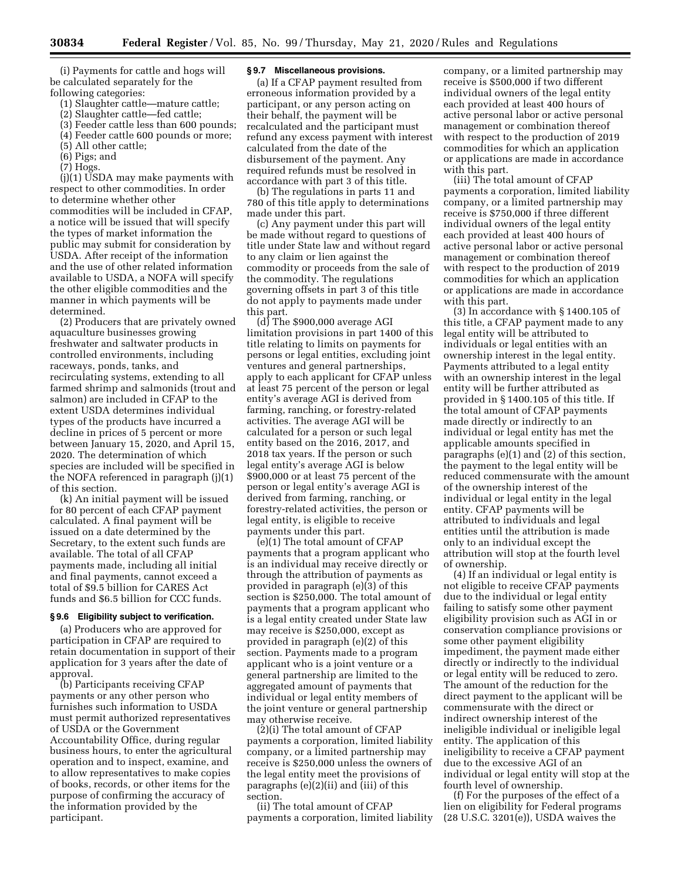(i) Payments for cattle and hogs will be calculated separately for the following categories:

- (1) Slaughter cattle—mature cattle;
- (2) Slaughter cattle—fed cattle;
- (3) Feeder cattle less than 600 pounds;
- (4) Feeder cattle 600 pounds or more;
- (5) All other cattle;
- (6) Pigs; and
- (7) Hogs.

(j)(1) USDA may make payments with respect to other commodities. In order to determine whether other commodities will be included in CFAP, a notice will be issued that will specify the types of market information the public may submit for consideration by USDA. After receipt of the information and the use of other related information available to USDA, a NOFA will specify the other eligible commodities and the manner in which payments will be determined.

(2) Producers that are privately owned aquaculture businesses growing freshwater and saltwater products in controlled environments, including raceways, ponds, tanks, and recirculating systems, extending to all farmed shrimp and salmonids (trout and salmon) are included in CFAP to the extent USDA determines individual types of the products have incurred a decline in prices of 5 percent or more between January 15, 2020, and April 15, 2020. The determination of which species are included will be specified in the NOFA referenced in paragraph (j)(1) of this section.

(k) An initial payment will be issued for 80 percent of each CFAP payment calculated. A final payment will be issued on a date determined by the Secretary, to the extent such funds are available. The total of all CFAP payments made, including all initial and final payments, cannot exceed a total of \$9.5 billion for CARES Act funds and \$6.5 billion for CCC funds.

## **§ 9.6 Eligibility subject to verification.**

(a) Producers who are approved for participation in CFAP are required to retain documentation in support of their application for 3 years after the date of approval.

(b) Participants receiving CFAP payments or any other person who furnishes such information to USDA must permit authorized representatives of USDA or the Government Accountability Office, during regular business hours, to enter the agricultural operation and to inspect, examine, and to allow representatives to make copies of books, records, or other items for the purpose of confirming the accuracy of the information provided by the participant.

#### **§ 9.7 Miscellaneous provisions.**

(a) If a CFAP payment resulted from erroneous information provided by a participant, or any person acting on their behalf, the payment will be recalculated and the participant must refund any excess payment with interest calculated from the date of the disbursement of the payment. Any required refunds must be resolved in accordance with part 3 of this title.

(b) The regulations in parts 11 and 780 of this title apply to determinations made under this part.

(c) Any payment under this part will be made without regard to questions of title under State law and without regard to any claim or lien against the commodity or proceeds from the sale of the commodity. The regulations governing offsets in part 3 of this title do not apply to payments made under this part.

(d) The \$900,000 average AGI limitation provisions in part 1400 of this title relating to limits on payments for persons or legal entities, excluding joint ventures and general partnerships, apply to each applicant for CFAP unless at least 75 percent of the person or legal entity's average AGI is derived from farming, ranching, or forestry-related activities. The average AGI will be calculated for a person or such legal entity based on the 2016, 2017, and 2018 tax years. If the person or such legal entity's average AGI is below \$900,000 or at least 75 percent of the person or legal entity's average AGI is derived from farming, ranching, or forestry-related activities, the person or legal entity, is eligible to receive payments under this part.

(e)(1) The total amount of CFAP payments that a program applicant who is an individual may receive directly or through the attribution of payments as provided in paragraph (e)(3) of this section is \$250,000. The total amount of payments that a program applicant who is a legal entity created under State law may receive is \$250,000, except as provided in paragraph (e)(2) of this section. Payments made to a program applicant who is a joint venture or a general partnership are limited to the aggregated amount of payments that individual or legal entity members of the joint venture or general partnership may otherwise receive.

(2)(i) The total amount of CFAP payments a corporation, limited liability company, or a limited partnership may receive is \$250,000 unless the owners of the legal entity meet the provisions of paragraphs (e)(2)(ii) and (iii) of this section.

(ii) The total amount of CFAP payments a corporation, limited liability

company, or a limited partnership may receive is \$500,000 if two different individual owners of the legal entity each provided at least 400 hours of active personal labor or active personal management or combination thereof with respect to the production of 2019 commodities for which an application or applications are made in accordance with this part.

(iii) The total amount of CFAP payments a corporation, limited liability company, or a limited partnership may receive is \$750,000 if three different individual owners of the legal entity each provided at least 400 hours of active personal labor or active personal management or combination thereof with respect to the production of 2019 commodities for which an application or applications are made in accordance with this part.

(3) In accordance with § 1400.105 of this title, a CFAP payment made to any legal entity will be attributed to individuals or legal entities with an ownership interest in the legal entity. Payments attributed to a legal entity with an ownership interest in the legal entity will be further attributed as provided in § 1400.105 of this title. If the total amount of CFAP payments made directly or indirectly to an individual or legal entity has met the applicable amounts specified in paragraphs (e)(1) and (2) of this section, the payment to the legal entity will be reduced commensurate with the amount of the ownership interest of the individual or legal entity in the legal entity. CFAP payments will be attributed to individuals and legal entities until the attribution is made only to an individual except the attribution will stop at the fourth level of ownership.

(4) If an individual or legal entity is not eligible to receive CFAP payments due to the individual or legal entity failing to satisfy some other payment eligibility provision such as AGI in or conservation compliance provisions or some other payment eligibility impediment, the payment made either directly or indirectly to the individual or legal entity will be reduced to zero. The amount of the reduction for the direct payment to the applicant will be commensurate with the direct or indirect ownership interest of the ineligible individual or ineligible legal entity. The application of this ineligibility to receive a CFAP payment due to the excessive AGI of an individual or legal entity will stop at the fourth level of ownership.

(f) For the purposes of the effect of a lien on eligibility for Federal programs (28 U.S.C. 3201(e)), USDA waives the